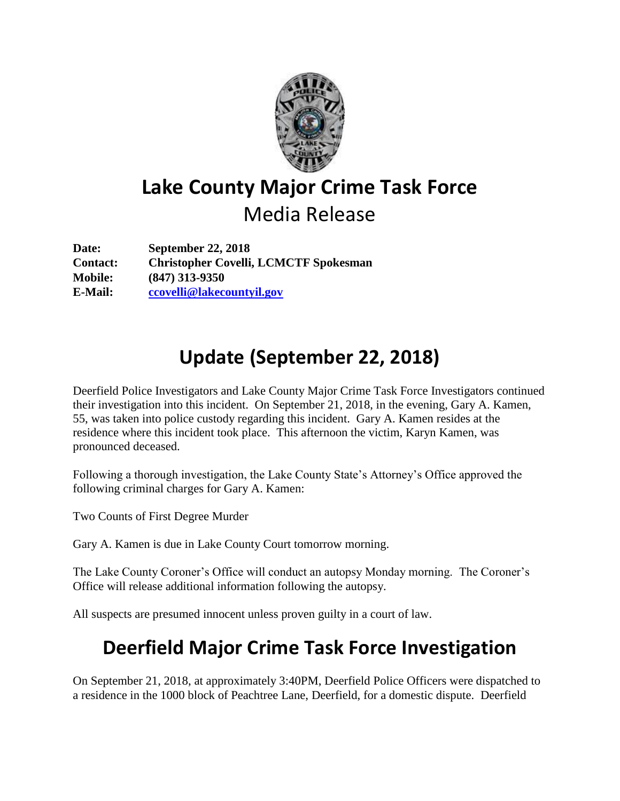

## **Lake County Major Crime Task Force** Media Release

**Date: September 22, 2018 Contact: Christopher Covelli, LCMCTF Spokesman Mobile: (847) 313-9350 E-Mail: [ccovelli@lakecountyil.gov](mailto:ccovelli@lakecountyil.gov)**

## **Update (September 22, 2018)**

Deerfield Police Investigators and Lake County Major Crime Task Force Investigators continued their investigation into this incident. On September 21, 2018, in the evening, Gary A. Kamen, 55, was taken into police custody regarding this incident. Gary A. Kamen resides at the residence where this incident took place. This afternoon the victim, Karyn Kamen, was pronounced deceased.

Following a thorough investigation, the Lake County State's Attorney's Office approved the following criminal charges for Gary A. Kamen:

Two Counts of First Degree Murder

Gary A. Kamen is due in Lake County Court tomorrow morning.

The Lake County Coroner's Office will conduct an autopsy Monday morning. The Coroner's Office will release additional information following the autopsy.

All suspects are presumed innocent unless proven guilty in a court of law.

## **Deerfield Major Crime Task Force Investigation**

On September 21, 2018, at approximately 3:40PM, Deerfield Police Officers were dispatched to a residence in the 1000 block of Peachtree Lane, Deerfield, for a domestic dispute. Deerfield